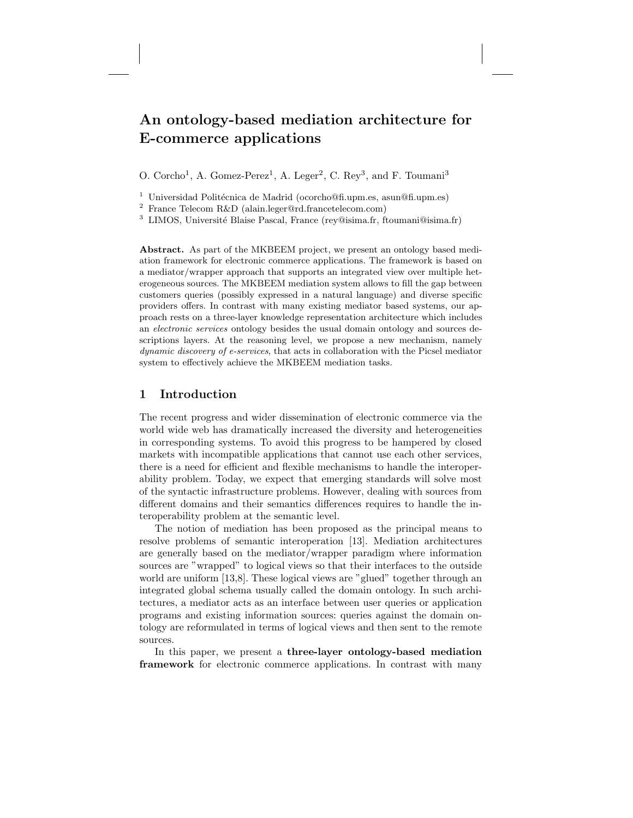# An ontology-based mediation architecture for E-commerce applications

O. Corcho<sup>1</sup>, A. Gomez-Perez<sup>1</sup>, A. Leger<sup>2</sup>, C. Rey<sup>3</sup>, and F. Toumani<sup>3</sup>

<sup>1</sup> Universidad Politécnica de Madrid (ocorcho@fi.upm.es, asun@fi.upm.es)

<sup>2</sup> France Telecom R&D (alain.leger@rd.francetelecom.com)

<sup>3</sup> LIMOS, Université Blaise Pascal, France (rey@isima.fr, ftoumani@isima.fr)

Abstract. As part of the MKBEEM project, we present an ontology based mediation framework for electronic commerce applications. The framework is based on a mediator/wrapper approach that supports an integrated view over multiple heterogeneous sources. The MKBEEM mediation system allows to fill the gap between customers queries (possibly expressed in a natural language) and diverse specific providers offers. In contrast with many existing mediator based systems, our approach rests on a three-layer knowledge representation architecture which includes an electronic services ontology besides the usual domain ontology and sources descriptions layers. At the reasoning level, we propose a new mechanism, namely dynamic discovery of e-services, that acts in collaboration with the Picsel mediator system to effectively achieve the MKBEEM mediation tasks.

#### 1 Introduction

The recent progress and wider dissemination of electronic commerce via the world wide web has dramatically increased the diversity and heterogeneities in corresponding systems. To avoid this progress to be hampered by closed markets with incompatible applications that cannot use each other services, there is a need for efficient and flexible mechanisms to handle the interoperability problem. Today, we expect that emerging standards will solve most of the syntactic infrastructure problems. However, dealing with sources from different domains and their semantics differences requires to handle the interoperability problem at the semantic level.

The notion of mediation has been proposed as the principal means to resolve problems of semantic interoperation [13]. Mediation architectures are generally based on the mediator/wrapper paradigm where information sources are "wrapped" to logical views so that their interfaces to the outside world are uniform [13,8]. These logical views are "glued" together through an integrated global schema usually called the domain ontology. In such architectures, a mediator acts as an interface between user queries or application programs and existing information sources: queries against the domain ontology are reformulated in terms of logical views and then sent to the remote sources.

In this paper, we present a three-layer ontology-based mediation framework for electronic commerce applications. In contrast with many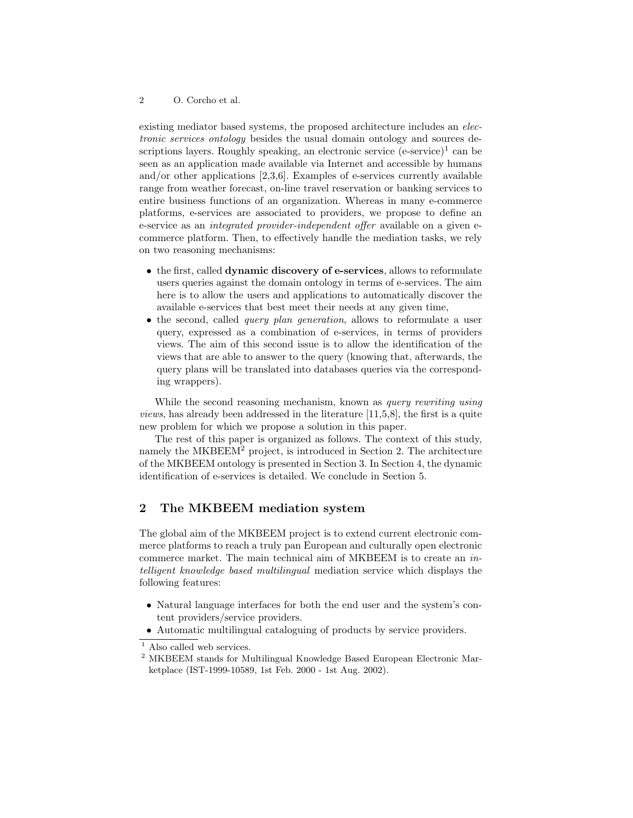2 O. Corcho et al.

existing mediator based systems, the proposed architecture includes an *elec*tronic services ontology besides the usual domain ontology and sources descriptions layers. Roughly speaking, an electronic service  $(e\text{-}service)^1$  can be seen as an application made available via Internet and accessible by humans and/or other applications [2,3,6]. Examples of e-services currently available range from weather forecast, on-line travel reservation or banking services to entire business functions of an organization. Whereas in many e-commerce platforms, e-services are associated to providers, we propose to define an e-service as an integrated provider-independent offer available on a given ecommerce platform. Then, to effectively handle the mediation tasks, we rely on two reasoning mechanisms:

- the first, called dynamic discovery of e-services, allows to reformulate users queries against the domain ontology in terms of e-services. The aim here is to allow the users and applications to automatically discover the available e-services that best meet their needs at any given time,
- the second, called *query plan generation*, allows to reformulate a user query, expressed as a combination of e-services, in terms of providers views. The aim of this second issue is to allow the identification of the views that are able to answer to the query (knowing that, afterwards, the query plans will be translated into databases queries via the corresponding wrappers).

While the second reasoning mechanism, known as *query rewriting using views*, has already been addressed in the literature  $[11,5,8]$ , the first is a quite new problem for which we propose a solution in this paper.

The rest of this paper is organized as follows. The context of this study, namely the  $MKBEEM<sup>2</sup>$  project, is introduced in Section 2. The architecture of the MKBEEM ontology is presented in Section 3. In Section 4, the dynamic identification of e-services is detailed. We conclude in Section 5.

# 2 The MKBEEM mediation system

The global aim of the MKBEEM project is to extend current electronic commerce platforms to reach a truly pan European and culturally open electronic commerce market. The main technical aim of MKBEEM is to create an intelligent knowledge based multilingual mediation service which displays the following features:

- Natural language interfaces for both the end user and the system's content providers/service providers.
- Automatic multilingual cataloguing of products by service providers.

<sup>&</sup>lt;sup>1</sup> Also called web services.

<sup>2</sup> MKBEEM stands for Multilingual Knowledge Based European Electronic Marketplace (IST-1999-10589, 1st Feb. 2000 - 1st Aug. 2002).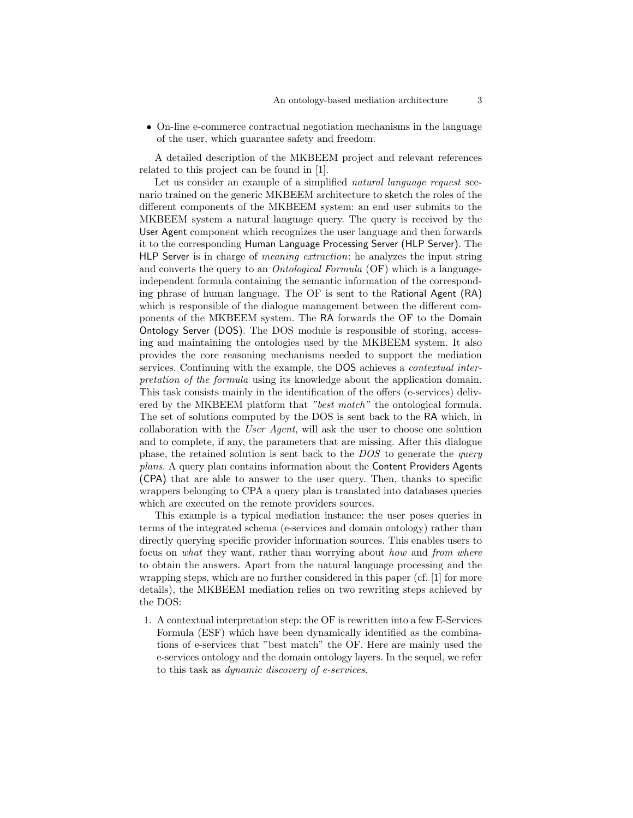• On-line e-commerce contractual negotiation mechanisms in the language of the user, which guarantee safety and freedom.

A detailed description of the MKBEEM project and relevant references related to this project can be found in [1].

Let us consider an example of a simplified *natural language request* scenario trained on the generic MKBEEM architecture to sketch the roles of the different components of the MKBEEM system: an end user submits to the MKBEEM system a natural language query. The query is received by the User Agent component which recognizes the user language and then forwards it to the corresponding Human Language Processing Server (HLP Server). The HLP Server is in charge of meaning extraction: he analyzes the input string and converts the query to an *Ontological Formula* (OF) which is a languageindependent formula containing the semantic information of the corresponding phrase of human language. The OF is sent to the Rational Agent (RA) which is responsible of the dialogue management between the different components of the MKBEEM system. The RA forwards the OF to the Domain Ontology Server (DOS). The DOS module is responsible of storing, accessing and maintaining the ontologies used by the MKBEEM system. It also provides the core reasoning mechanisms needed to support the mediation services. Continuing with the example, the DOS achieves a *contextual inter*pretation of the formula using its knowledge about the application domain. This task consists mainly in the identification of the offers (e-services) delivered by the MKBEEM platform that "best match" the ontological formula. The set of solutions computed by the DOS is sent back to the RA which, in collaboration with the User Agent, will ask the user to choose one solution and to complete, if any, the parameters that are missing. After this dialogue phase, the retained solution is sent back to the DOS to generate the query plans. A query plan contains information about the Content Providers Agents (CPA) that are able to answer to the user query. Then, thanks to specific wrappers belonging to CPA a query plan is translated into databases queries which are executed on the remote providers sources.

This example is a typical mediation instance: the user poses queries in terms of the integrated schema (e-services and domain ontology) rather than directly querying specific provider information sources. This enables users to focus on what they want, rather than worrying about how and from where to obtain the answers. Apart from the natural language processing and the wrapping steps, which are no further considered in this paper (cf. [1] for more details), the MKBEEM mediation relies on two rewriting steps achieved by the DOS:

1. A contextual interpretation step: the OF is rewritten into a few E-Services Formula (ESF) which have been dynamically identified as the combinations of e-services that "best match" the OF. Here are mainly used the e-services ontology and the domain ontology layers. In the sequel, we refer to this task as dynamic discovery of e-services.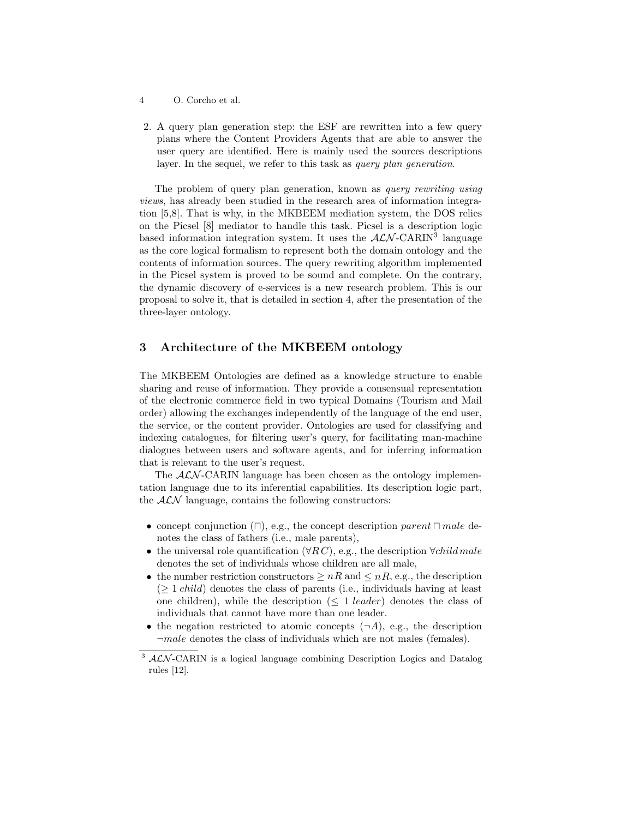- 4 O. Corcho et al.
- 2. A query plan generation step: the ESF are rewritten into a few query plans where the Content Providers Agents that are able to answer the user query are identified. Here is mainly used the sources descriptions layer. In the sequel, we refer to this task as *query plan generation*.

The problem of query plan generation, known as query rewriting using views, has already been studied in the research area of information integration [5,8]. That is why, in the MKBEEM mediation system, the DOS relies on the Picsel [8] mediator to handle this task. Picsel is a description logic based information integration system. It uses the  $\mathcal{ALN}$ -CARIN<sup>3</sup> language as the core logical formalism to represent both the domain ontology and the contents of information sources. The query rewriting algorithm implemented in the Picsel system is proved to be sound and complete. On the contrary, the dynamic discovery of e-services is a new research problem. This is our proposal to solve it, that is detailed in section 4, after the presentation of the three-layer ontology.

## 3 Architecture of the MKBEEM ontology

The MKBEEM Ontologies are defined as a knowledge structure to enable sharing and reuse of information. They provide a consensual representation of the electronic commerce field in two typical Domains (Tourism and Mail order) allowing the exchanges independently of the language of the end user, the service, or the content provider. Ontologies are used for classifying and indexing catalogues, for filtering user's query, for facilitating man-machine dialogues between users and software agents, and for inferring information that is relevant to the user's request.

The  $ALN$ -CARIN language has been chosen as the ontology implementation language due to its inferential capabilities. Its description logic part, the  $ALN$  language, contains the following constructors:

- concept conjunction  $(\sqcap)$ , e.g., the concept description parent  $\sqcap$  male denotes the class of fathers (i.e., male parents),
- the universal role quantification  $(\forall RC)$ , e.g., the description  $\forall child \, male$ denotes the set of individuals whose children are all male,
- the number restriction constructors  $\geq nR$  and  $\leq nR$ , e.g., the description  $(> 1 \text{ child})$  denotes the class of parents (i.e., individuals having at least one children), while the description ( $\leq 1$  *leader*) denotes the class of individuals that cannot have more than one leader.
- the negation restricted to atomic concepts  $(\neg A)$ , e.g., the description  $\neg male$  denotes the class of individuals which are not males (females).

 $\frac{3}{3}$  ALN-CARIN is a logical language combining Description Logics and Datalog rules [12].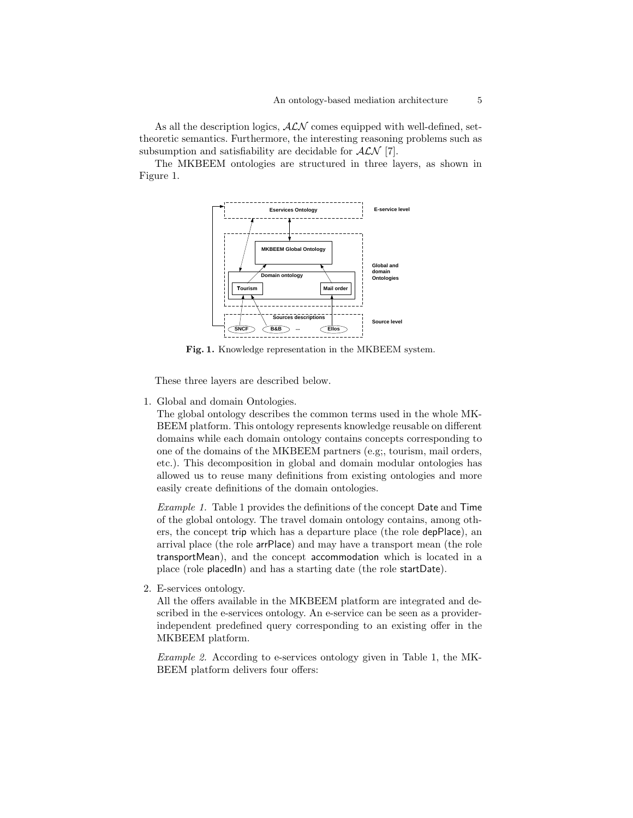As all the description logics,  $ALN$  comes equipped with well-defined, settheoretic semantics. Furthermore, the interesting reasoning problems such as subsumption and satisfiability are decidable for  $\mathcal{ALN}$  [7].

The MKBEEM ontologies are structured in three layers, as shown in Figure 1.



Fig. 1. Knowledge representation in the MKBEEM system.

These three layers are described below.

1. Global and domain Ontologies.

The global ontology describes the common terms used in the whole MK-BEEM platform. This ontology represents knowledge reusable on different domains while each domain ontology contains concepts corresponding to one of the domains of the MKBEEM partners (e.g;, tourism, mail orders, etc.). This decomposition in global and domain modular ontologies has allowed us to reuse many definitions from existing ontologies and more easily create definitions of the domain ontologies.

Example 1. Table 1 provides the definitions of the concept Date and Time of the global ontology. The travel domain ontology contains, among others, the concept trip which has a departure place (the role depPlace), an arrival place (the role arrPlace) and may have a transport mean (the role transportMean), and the concept accommodation which is located in a place (role placedIn) and has a starting date (the role startDate).

2. E-services ontology.

All the offers available in the MKBEEM platform are integrated and described in the e-services ontology. An e-service can be seen as a providerindependent predefined query corresponding to an existing offer in the MKBEEM platform.

Example 2. According to e-services ontology given in Table 1, the MK-BEEM platform delivers four offers: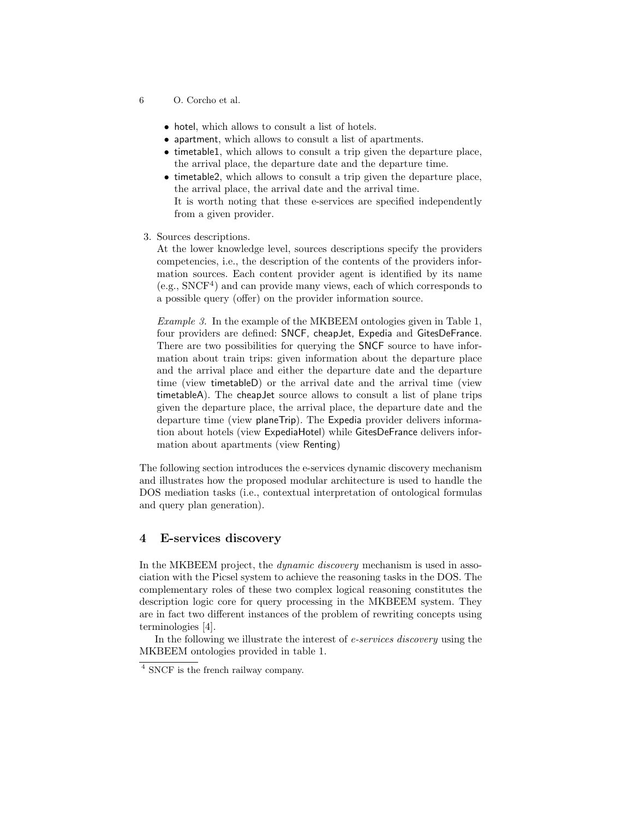- 6 O. Corcho et al.
	- hotel, which allows to consult a list of hotels.
	- apartment, which allows to consult a list of apartments.
	- timetable1, which allows to consult a trip given the departure place, the arrival place, the departure date and the departure time.
	- timetable2, which allows to consult a trip given the departure place, the arrival place, the arrival date and the arrival time. It is worth noting that these e-services are specified independently from a given provider.
- 3. Sources descriptions.

At the lower knowledge level, sources descriptions specify the providers competencies, i.e., the description of the contents of the providers information sources. Each content provider agent is identified by its name (e.g., SNCF<sup>4</sup> ) and can provide many views, each of which corresponds to a possible query (offer) on the provider information source.

Example 3. In the example of the MKBEEM ontologies given in Table 1, four providers are defined: SNCF, cheapJet, Expedia and GitesDeFrance. There are two possibilities for querying the SNCF source to have information about train trips: given information about the departure place and the arrival place and either the departure date and the departure time (view timetableD) or the arrival date and the arrival time (view timetableA). The cheapJet source allows to consult a list of plane trips given the departure place, the arrival place, the departure date and the departure time (view planeTrip). The Expedia provider delivers information about hotels (view ExpediaHotel) while GitesDeFrance delivers information about apartments (view Renting)

The following section introduces the e-services dynamic discovery mechanism and illustrates how the proposed modular architecture is used to handle the DOS mediation tasks (i.e., contextual interpretation of ontological formulas and query plan generation).

#### 4 E-services discovery

In the MKBEEM project, the *dynamic discovery* mechanism is used in association with the Picsel system to achieve the reasoning tasks in the DOS. The complementary roles of these two complex logical reasoning constitutes the description logic core for query processing in the MKBEEM system. They are in fact two different instances of the problem of rewriting concepts using terminologies [4].

In the following we illustrate the interest of e-services discovery using the MKBEEM ontologies provided in table 1.

<sup>4</sup> SNCF is the french railway company.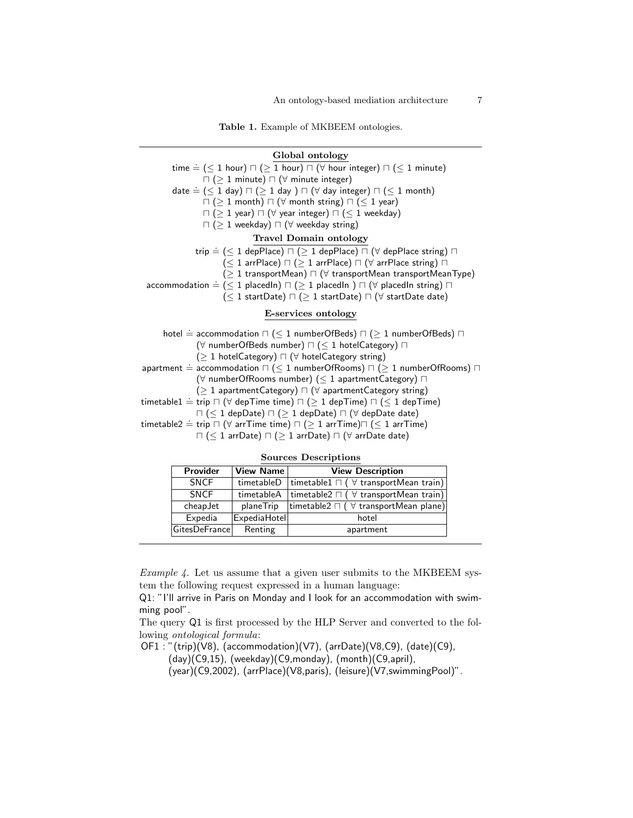Table 1. Example of MKBEEM ontologies.

| Global ontology                                                                                                              |  |  |  |
|------------------------------------------------------------------------------------------------------------------------------|--|--|--|
| time $\dot{=}$ ( $\leq$ 1 hour) $\Box$ ( $\geq$ 1 hour) $\Box$ ( $\forall$ hour integer) $\Box$ ( $\leq$ 1 minute)           |  |  |  |
| $\Box$ (> 1 minute) $\Box$ ( $\forall$ minute integer)                                                                       |  |  |  |
| date $\stackrel{.}{=}$ ( $\leq$ 1 day) $\sqcap$ ( $\geq$ 1 day) $\sqcap$ ( $\forall$ day integer) $\sqcap$ ( $\leq$ 1 month) |  |  |  |
| $\Box$ ( $\geq$ 1 month) $\Box$ ( $\forall$ month string) $\Box$ ( $\leq$ 1 year)                                            |  |  |  |
| $\Box$ ( $\geq 1$ year) $\Box$ ( $\forall$ year integer) $\Box$ ( $\leq 1$ weekday)                                          |  |  |  |
| $\Box$ ( $\geq$ 1 weekday) $\Box$ ( $\forall$ weekday string)                                                                |  |  |  |
| Travel Domain ontology                                                                                                       |  |  |  |
| trip $\dot{=}$ (< 1 depPlace) $\Box$ (> 1 depPlace) $\Box$ ( $\forall$ depPlace string) $\Box$                               |  |  |  |
| $(< 1$ arrPlace) $\sqcap$ ( $\geq 1$ arrPlace) $\sqcap$ ( $\forall$ arrPlace string) $\sqcap$                                |  |  |  |
| $($ 2 1 transportMean) $\sqcap$ ( $\forall$ transportMean transportMeanType)                                                 |  |  |  |
| accommodation $\dot{=}$ (< 1 placedln) $\sqcap$ (> 1 placedln ) $\sqcap$ ( $\forall$ placedln string) $\sqcap$               |  |  |  |
| $(< 1$ startDate) $\sqcap$ ( $\geq 1$ startDate) $\sqcap$ ( $\forall$ startDate date)                                        |  |  |  |
| E-services ontology                                                                                                          |  |  |  |

| hotel $\dot{=}$ accommodation $\Box$ (< 1 numberOfBeds) $\Box$ (> 1 numberOfBeds) $\Box$                                       |
|--------------------------------------------------------------------------------------------------------------------------------|
| $(\forall$ numberOfBeds number) $\Box$ ( $\leq$ 1 hotelCategory) $\Box$                                                        |
| $( \geq 1$ hotelCategory) $\sqcap$ ( $\forall$ hotelCategory string)                                                           |
| apartment = accommodation $\sqcap$ ( $\leq 1$ numberOfRooms) $\sqcap$ ( $\geq 1$ numberOfRooms) $\sqcap$                       |
| ( $\forall$ numberOfRooms number) ( $\leq 1$ apartmentCategory) $\Box$                                                         |
| $($ 2 1 apartment Category) $\Box$ ( $\forall$ apartment Category string)                                                      |
| timetable1 = trip $\sqcap$ ( $\forall$ depTime time) $\sqcap$ ( $\geq$ 1 depTime) $\sqcap$ ( $\leq$ 1 depTime)                 |
| $\Box$ ( $\leq$ 1 depDate) $\Box$ ( $\geq$ 1 depDate) $\Box$ ( $\forall$ depDate date)                                         |
| timetable2 $\stackrel{.}{=}$ trip $\sqcap$ ( $\forall$ arrTime time) $\sqcap$ ( $\geq$ 1 arrTime) $\sqcap$ ( $\leq$ 1 arrTime) |
| $\Box$ ( $\leq$ 1 arrDate) $\Box$ ( $\geq$ 1 arrDate) $\Box$ ( $\forall$ arrDate date)                                         |
|                                                                                                                                |

| $500$ $500$ $500$ $500$ $500$ |                  |                                                      |  |  |  |  |
|-------------------------------|------------------|------------------------------------------------------|--|--|--|--|
| Provider                      | <b>View Name</b> | <b>View Description</b>                              |  |  |  |  |
| <b>SNCF</b>                   | timetableD       | timetable1 $\sqcap$ ( $\forall$ transportMean train) |  |  |  |  |
| <b>SNCF</b>                   | timetableA       | timetable2 $\sqcap$ ( $\forall$ transportMean train) |  |  |  |  |
| cheapJet                      | planeTrip        | timetable2 $\sqcap$ ( $\forall$ transportMean plane) |  |  |  |  |
| Expedia                       | ExpediaHotel     | hotel                                                |  |  |  |  |
| GitesDeFrance                 | Renting          | apartment                                            |  |  |  |  |

#### Sources Descriptions

Example 4. Let us assume that a given user submits to the MKBEEM system the following request expressed in a human language:

Q1: "I'll arrive in Paris on Monday and I look for an accommodation with swimming pool".

The query Q1 is first processed by the HLP Server and converted to the following ontological formula:

OF1 : "(trip)(V8), (accommodation)(V7), (arrDate)(V8,C9), (date)(C9),

(day)(C9,15), (weekday)(C9,monday), (month)(C9,april),

(year)(C9,2002), (arrPlace)(V8,paris), (leisure)(V7,swimmingPool)".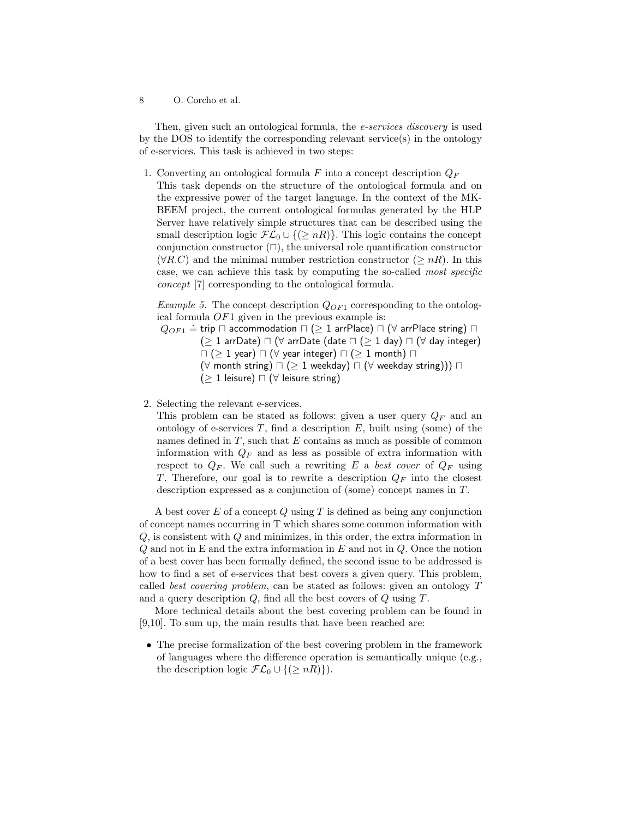8 O. Corcho et al.

Then, given such an ontological formula, the e-services discovery is used by the DOS to identify the corresponding relevant service(s) in the ontology of e-services. This task is achieved in two steps:

- 1. Converting an ontological formula F into a concept description  $Q_F$ 
	- This task depends on the structure of the ontological formula and on the expressive power of the target language. In the context of the MK-BEEM project, the current ontological formulas generated by the HLP Server have relatively simple structures that can be described using the small description logic  $\mathcal{FL}_0 \cup \{(\geq nR)\}\.$  This logic contains the concept conjunction constructor  $(\square)$ , the universal role quantification constructor  $(\forall R.C)$  and the minimal number restriction constructor  $(\geq nR)$ . In this case, we can achieve this task by computing the so-called most specific concept [7] corresponding to the ontological formula.

*Example 5.* The concept description  $Q_{OF1}$  corresponding to the ontological formula OF1 given in the previous example is:

 $Q_{OF1}$  = trip  $\Box$  accommodation  $\Box$  ( $\geq$  1 arrPlace)  $\Box$  ( $\forall$  arrPlace string)  $\Box$  $(≥ 1$  arrDate)  $\Box$  ( $∀$  arrDate (date  $\Box$  ( $≥ 1$  day)  $\Box$  ( $∀$  day integer)  $\Box$  ( $\geq 1$  year)  $\Box$  ( $\forall$  year integer)  $\Box$  ( $\geq 1$  month)  $\Box$  $(\forall \text{ month string}) \sqcap (\geq 1 \text{ weekday}) \sqcap (\forall \text{ weekday string}))) \sqcap$ ( $≥ 1$  leisure)  $\Box$  ( $\forall$  leisure string)

2. Selecting the relevant e-services.

This problem can be stated as follows: given a user query  $Q_F$  and an ontology of e-services  $T$ , find a description  $E$ , built using (some) of the names defined in  $T$ , such that  $E$  contains as much as possible of common information with  $Q_F$  and as less as possible of extra information with respect to  $Q_F$ . We call such a rewriting E a best cover of  $Q_F$  using T. Therefore, our goal is to rewrite a description  $Q_F$  into the closest description expressed as a conjunction of (some) concept names in T.

A best cover  $E$  of a concept  $Q$  using  $T$  is defined as being any conjunction of concept names occurring in T which shares some common information with Q, is consistent with Q and minimizes, in this order, the extra information in  $Q$  and not in E and the extra information in E and not in  $Q$ . Once the notion of a best cover has been formally defined, the second issue to be addressed is how to find a set of e-services that best covers a given query. This problem, called best covering problem, can be stated as follows: given an ontology T and a query description Q, find all the best covers of Q using T.

More technical details about the best covering problem can be found in [9,10]. To sum up, the main results that have been reached are:

• The precise formalization of the best covering problem in the framework of languages where the difference operation is semantically unique (e.g., the description logic  $\mathcal{FL}_0 \cup \{(\geq nR)\}\)$ .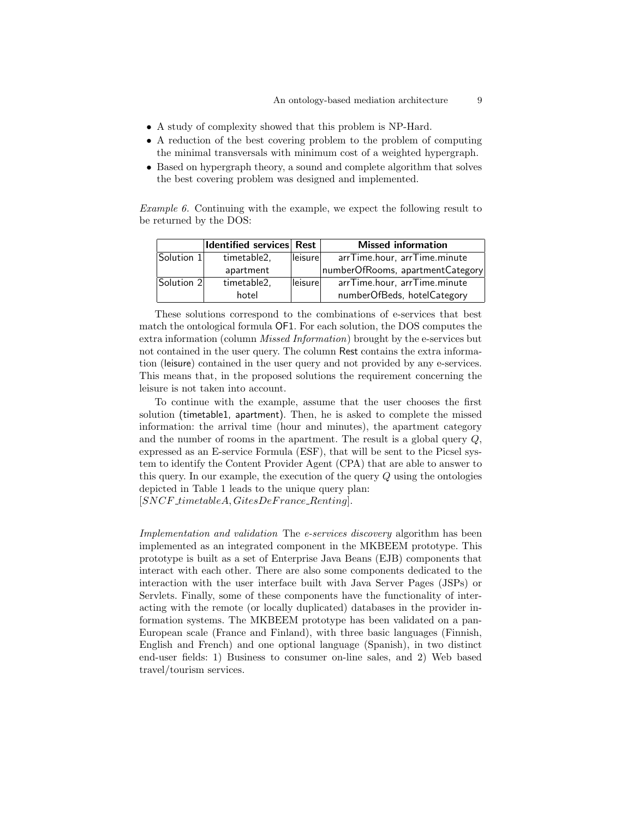- A study of complexity showed that this problem is NP-Hard.
- A reduction of the best covering problem to the problem of computing the minimal transversals with minimum cost of a weighted hypergraph.
- Based on hypergraph theory, a sound and complete algorithm that solves the best covering problem was designed and implemented.

Example 6. Continuing with the example, we expect the following result to be returned by the DOS:

|                          | Identified services Rest |           | <b>Missed information</b>        |
|--------------------------|--------------------------|-----------|----------------------------------|
| $\mid$ Solution 1 $\mid$ | timetable2.              | lleisurel | arrTime.hour, arrTime.minute     |
|                          | apartment                |           | numberOfRooms, apartmentCategory |
| Solution 2               | timetable2.              | lleisurel | arrTime.hour, arrTime.minute     |
|                          | hotel                    |           | numberOfBeds, hotelCategory      |

These solutions correspond to the combinations of e-services that best match the ontological formula OF1. For each solution, the DOS computes the extra information (column *Missed Information*) brought by the e-services but not contained in the user query. The column Rest contains the extra information (leisure) contained in the user query and not provided by any e-services. This means that, in the proposed solutions the requirement concerning the leisure is not taken into account.

To continue with the example, assume that the user chooses the first solution (timetable1, apartment). Then, he is asked to complete the missed information: the arrival time (hour and minutes), the apartment category and the number of rooms in the apartment. The result is a global query  $Q$ , expressed as an E-service Formula (ESF), that will be sent to the Picsel system to identify the Content Provider Agent (CPA) that are able to answer to this query. In our example, the execution of the query  $Q$  using the ontologies depicted in Table 1 leads to the unique query plan:

 $[SNCF\_time tableA, GitesDefrance\_Renting].$ 

Implementation and validation The e-services discovery algorithm has been implemented as an integrated component in the MKBEEM prototype. This prototype is built as a set of Enterprise Java Beans (EJB) components that interact with each other. There are also some components dedicated to the interaction with the user interface built with Java Server Pages (JSPs) or Servlets. Finally, some of these components have the functionality of interacting with the remote (or locally duplicated) databases in the provider information systems. The MKBEEM prototype has been validated on a pan-European scale (France and Finland), with three basic languages (Finnish, English and French) and one optional language (Spanish), in two distinct end-user fields: 1) Business to consumer on-line sales, and 2) Web based travel/tourism services.